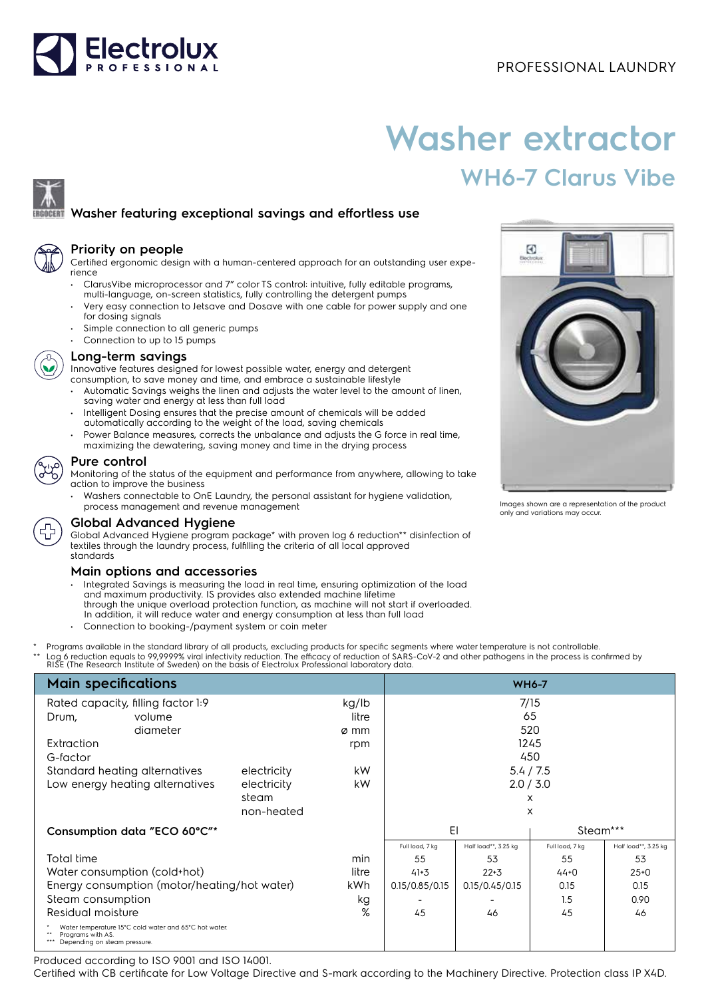# Electrolux

### PROFESSIONAL LAUNDRY

# **Washer extractor WH6-7 Clarus Vibe**

## **Washer featuring exceptional savings and effortless use**



#### **Priority on people**

Certified ergonomic design with a human-centered approach for an outstanding user experience

- ClarusVibe microprocessor and 7" color TS control: intuitive, fully editable programs,
- multi-language, on-screen statistics, fully controlling the detergent pumps • Very easy connection to Jetsave and Dosave with one cable for power supply and one for dosing signals
- Simple connection to all generic pumps
- Connection to up to 15 pumps



#### **Long-term savings**

Innovative features designed for lowest possible water, energy and detergent

- consumption, to save money and time, and embrace a sustainable lifestyle • Automatic Savings weighs the linen and adjusts the water level to the amount of linen,
- saving water and energy at less than full load • Intelligent Dosing ensures that the precise amount of chemicals will be added automatically according to the weight of the load, saving chemicals
- Power Balance measures, corrects the unbalance and adjusts the G force in real time, maximizing the dewatering, saving money and time in the drying process

#### **Pure control**

Monitoring of the status of the equipment and performance from anywhere, allowing to take action to improve the business

• Washers connectable to OnE Laundry, the personal assistant for hygiene validation, process management and revenue management



#### **Global Advanced Hygiene**

Global Advanced Hygiene program package\* with proven log 6 reduction\*\* disinfection of textiles through the laundry process, fulfilling the criteria of all local approved standards

#### **Main options and accessories**

- Integrated Savings is measuring the load in real time, ensuring optimization of the load and maximum productivity. IS provides also extended machine lifetime through the unique overload protection function, as machine will not start if overloaded. In addition, it will reduce water and energy consumption at less than full load
- Connection to booking-/payment system or coin meter
- Programs available in the standard library of all products, excluding products for specific segments where water temperature is not controllable. \*\* Log 6 reduction equals to 99,9999% viral infectivity reduction. The efficacy of reduction of SARS-CoV-2 and other pathogens in the process is confirmed by<br>RISE (The Research Institute of Sweden) on the basis of Electrol

| <b>Main specifications</b>                                                                                 | <b>WH6-7</b> |       |                 |                      |                 |                      |
|------------------------------------------------------------------------------------------------------------|--------------|-------|-----------------|----------------------|-----------------|----------------------|
| Rated capacity, filling factor 1:9                                                                         |              |       | 7/15            |                      |                 |                      |
| volume<br>Drum,                                                                                            |              | litre |                 |                      | 65              |                      |
| diameter                                                                                                   |              | ø mm  |                 |                      | 520             |                      |
| Extraction                                                                                                 |              | rpm   |                 |                      | 1245            |                      |
| G-factor                                                                                                   |              |       |                 |                      | 450             |                      |
| Standard heating alternatives                                                                              | electricity  | kW    | 5.4 / 7.5       |                      |                 |                      |
| Low energy heating alternatives                                                                            | electricity  | kW    |                 |                      | 2.0 / 3.0       |                      |
|                                                                                                            | steam        |       |                 |                      | X               |                      |
|                                                                                                            | non-heated   |       |                 |                      | X               |                      |
| Consumption data "ECO 60°C"*                                                                               |              |       | EI              |                      | Steam***        |                      |
|                                                                                                            |              |       | Full load, 7 kg | Half load**, 3.25 kg | Full load, 7 kg | Half load**, 3.25 kg |
| Total time                                                                                                 |              | min   | 55              | 53                   | 55              | 53                   |
| Water consumption (cold+hot)                                                                               |              | litre | $41 + 3$        | $22 + 3$             | $44+0$          | $25+0$               |
| Energy consumption (motor/heating/hot water)                                                               |              | kWh.  | 0.15/0.85/0.15  | 0.15/0.45/0.15       | 0.15            | 0.15                 |
| Steam consumption                                                                                          |              | kg    |                 |                      | 1.5             | 0.90                 |
| Residual moisture                                                                                          |              | %     | 45              | 46                   | 45              | 46                   |
| Water temperature 15°C cold water and 65°C hot water.<br>Programs with AS.<br>Depending on steam pressure. |              |       |                 |                      |                 |                      |

Produced according to ISO 9001 and ISO 14001.

Certified with CB certificate for Low Voltage Directive and S-mark according to the Machinery Directive. Protection class IP X4D.



Images shown are a representation of the product only and variations may occur.